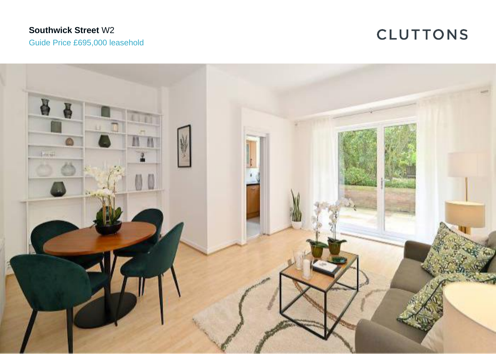### **Southwick Street** W2 Guide Price £695,000 leasehold

# **CLUTTONS**

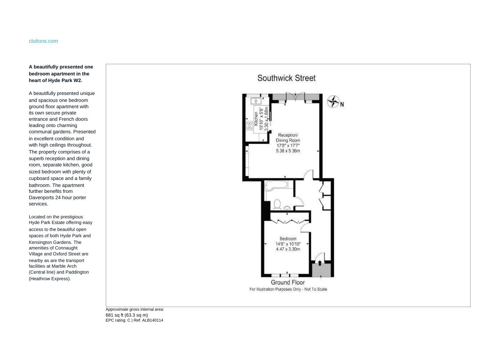

**A beautifully presented one bedroom apartment in the heart of Hyde Park W2.**

A beautifully presented unique and spacious one bedroom ground floor apartment with its own secure private entrance and French doors leading onto charming communal gardens. Presented in excellent condition and with high ceilings throughout. The property comprises of a superb reception and dining room, separate kitchen, good sized bedroom with plenty of cupboard space and a family bathroom. The apartment further benefits from Davenports 24 hour porter services.

Located on the prestigious Hyde Park Estate offering easy access to the beautiful open spaces of both Hyde Park and Kensington Gardens. The amenities of Connaught Village and Oxford Street are nearby as are the transport facilities at Marble Arch (Central line) and Paddington (Heathrow Express).



Approximate gross internal area: 681 sq ft (63.3 sq m) EPC rating: C | Ref: ALB140114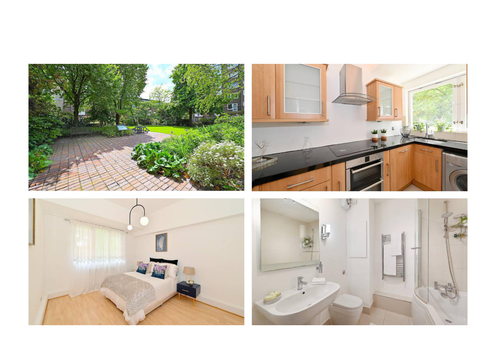